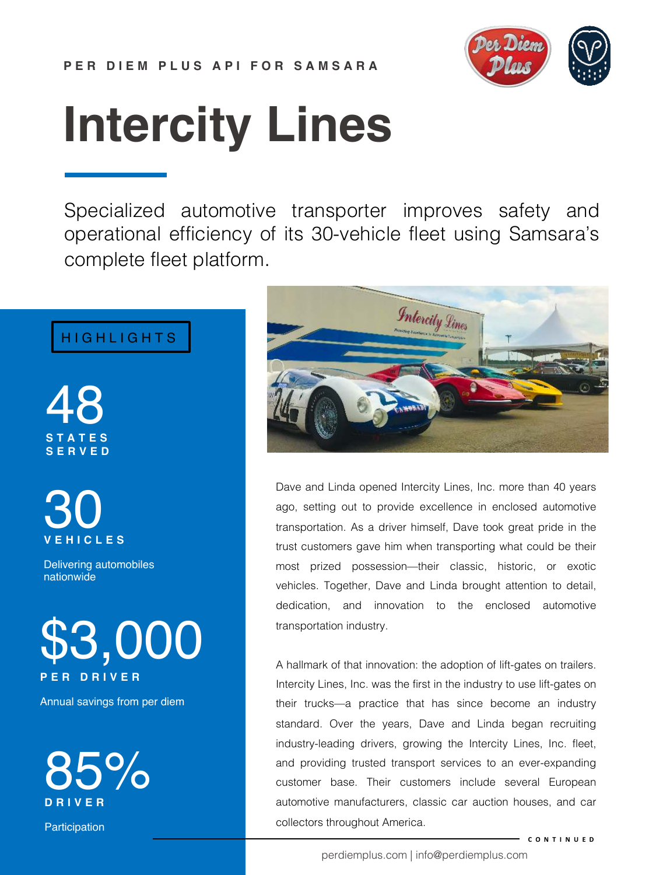

# **Intercity Lines**

Specialized automotive transporter improves safety and operational efficiency of its 30-vehicle fleet using Samsara's complete fleet platform.

### HIGHLIGHTS

48 **STATES SERVED**



Delivering automobiles nationwide



Annual savings from per diem



Participation



Dave and Linda opened Intercity Lines, Inc. more than 40 years ago, setting out to provide excellence in enclosed automotive transportation. As a driver himself, Dave took great pride in the trust customers gave him when transporting what could be their most prized possession—their classic, historic, or exotic vehicles. Together, Dave and Linda brought attention to detail, dedication, and innovation to the enclosed automotive transportation industry.

A hallmark of that innovation: the adoption of lift-gates on trailers. Intercity Lines, Inc. was the first in the industry to use lift-gates on their trucks—a practice that has since become an industry standard. Over the years, Dave and Linda began recruiting industry-leading drivers, growing the Intercity Lines, Inc. fleet, and providing trusted transport services to an ever-expanding customer base. Their customers include several European automotive manufacturers, classic car auction houses, and car collectors throughout America.

**CONTINUED**